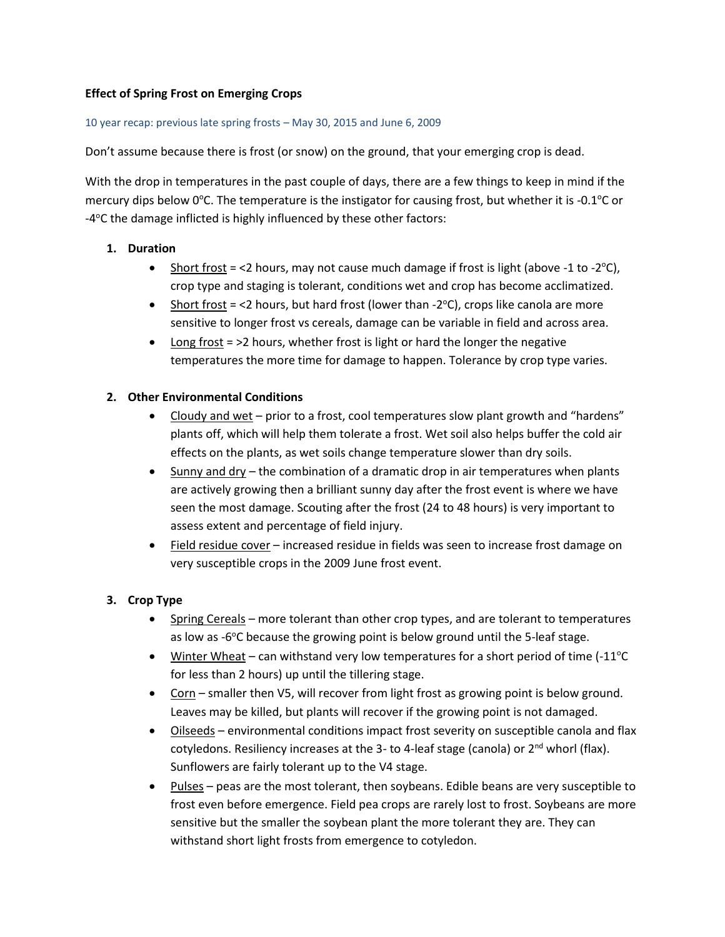# **Effect of Spring Frost on Emerging Crops**

#### 10 year recap: previous late spring frosts – May 30, 2015 and June 6, 2009

Don't assume because there is frost (or snow) on the ground, that your emerging crop is dead.

With the drop in temperatures in the past couple of days, there are a few things to keep in mind if the mercury dips below  $0^{\circ}$ C. The temperature is the instigator for causing frost, but whether it is -0.1 $^{\circ}$ C or -4°C the damage inflicted is highly influenced by these other factors:

## **1. Duration**

- Short frost = <2 hours, may not cause much damage if frost is light (above -1 to -2 $\degree$ C), crop type and staging is tolerant, conditions wet and crop has become acclimatized.
- Short frost = <2 hours, but hard frost (lower than -2 $^{\circ}$ C), crops like canola are more sensitive to longer frost vs cereals, damage can be variable in field and across area.
- Long frost = >2 hours, whether frost is light or hard the longer the negative temperatures the more time for damage to happen. Tolerance by crop type varies.

## **2. Other Environmental Conditions**

- Cloudy and wet prior to a frost, cool temperatures slow plant growth and "hardens" plants off, which will help them tolerate a frost. Wet soil also helps buffer the cold air effects on the plants, as wet soils change temperature slower than dry soils.
- Sunny and dry the combination of a dramatic drop in air temperatures when plants are actively growing then a brilliant sunny day after the frost event is where we have seen the most damage. Scouting after the frost (24 to 48 hours) is very important to assess extent and percentage of field injury.
- Field residue cover increased residue in fields was seen to increase frost damage on very susceptible crops in the 2009 June frost event.

#### **3. Crop Type**

- Spring Cereals more tolerant than other crop types, and are tolerant to temperatures as low as -6°C because the growing point is below ground until the 5-leaf stage.
- Winter Wheat can withstand very low temperatures for a short period of time  $(-11^{\circ}C)$ for less than 2 hours) up until the tillering stage.
- Corn smaller then V5, will recover from light frost as growing point is below ground. Leaves may be killed, but plants will recover if the growing point is not damaged.
- Oilseeds environmental conditions impact frost severity on susceptible canola and flax cotyledons. Resiliency increases at the 3- to 4-leaf stage (canola) or  $2^{nd}$  whorl (flax). Sunflowers are fairly tolerant up to the V4 stage.
- Pulses peas are the most tolerant, then soybeans. Edible beans are very susceptible to frost even before emergence. Field pea crops are rarely lost to frost. Soybeans are more sensitive but the smaller the soybean plant the more tolerant they are. They can withstand short light frosts from emergence to cotyledon.